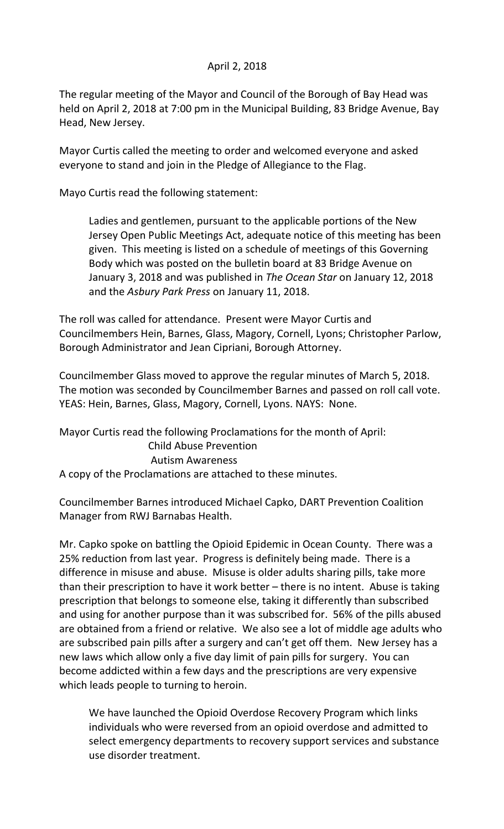## April 2, 2018

The regular meeting of the Mayor and Council of the Borough of Bay Head was held on April 2, 2018 at 7:00 pm in the Municipal Building, 83 Bridge Avenue, Bay Head, New Jersey.

Mayor Curtis called the meeting to order and welcomed everyone and asked everyone to stand and join in the Pledge of Allegiance to the Flag.

Mayo Curtis read the following statement:

Ladies and gentlemen, pursuant to the applicable portions of the New Jersey Open Public Meetings Act, adequate notice of this meeting has been given. This meeting is listed on a schedule of meetings of this Governing Body which was posted on the bulletin board at 83 Bridge Avenue on January 3, 2018 and was published in *The Ocean Star* on January 12, 2018 and the *Asbury Park Press* on January 11, 2018.

The roll was called for attendance. Present were Mayor Curtis and Councilmembers Hein, Barnes, Glass, Magory, Cornell, Lyons; Christopher Parlow, Borough Administrator and Jean Cipriani, Borough Attorney.

Councilmember Glass moved to approve the regular minutes of March 5, 2018. The motion was seconded by Councilmember Barnes and passed on roll call vote. YEAS: Hein, Barnes, Glass, Magory, Cornell, Lyons. NAYS: None.

Mayor Curtis read the following Proclamations for the month of April: Child Abuse Prevention Autism Awareness A copy of the Proclamations are attached to these minutes.

Councilmember Barnes introduced Michael Capko, DART Prevention Coalition Manager from RWJ Barnabas Health.

Mr. Capko spoke on battling the Opioid Epidemic in Ocean County. There was a 25% reduction from last year. Progress is definitely being made. There is a difference in misuse and abuse. Misuse is older adults sharing pills, take more than their prescription to have it work better – there is no intent. Abuse is taking prescription that belongs to someone else, taking it differently than subscribed and using for another purpose than it was subscribed for. 56% of the pills abused are obtained from a friend or relative. We also see a lot of middle age adults who are subscribed pain pills after a surgery and can't get off them. New Jersey has a new laws which allow only a five day limit of pain pills for surgery. You can become addicted within a few days and the prescriptions are very expensive which leads people to turning to heroin.

We have launched the Opioid Overdose Recovery Program which links individuals who were reversed from an opioid overdose and admitted to select emergency departments to recovery support services and substance use disorder treatment.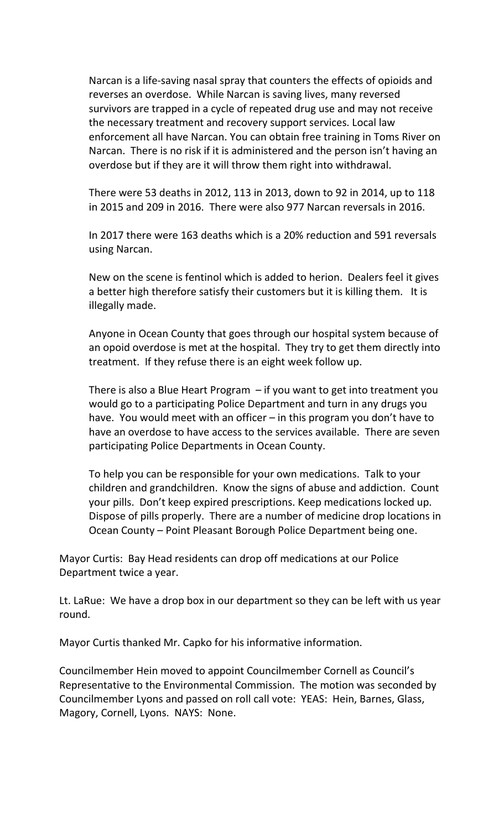Narcan is a life-saving nasal spray that counters the effects of opioids and reverses an overdose. While Narcan is saving lives, many reversed survivors are trapped in a cycle of repeated drug use and may not receive the necessary treatment and recovery support services. Local law enforcement all have Narcan. You can obtain free training in Toms River on Narcan. There is no risk if it is administered and the person isn't having an overdose but if they are it will throw them right into withdrawal.

There were 53 deaths in 2012, 113 in 2013, down to 92 in 2014, up to 118 in 2015 and 209 in 2016. There were also 977 Narcan reversals in 2016.

In 2017 there were 163 deaths which is a 20% reduction and 591 reversals using Narcan.

New on the scene is fentinol which is added to herion. Dealers feel it gives a better high therefore satisfy their customers but it is killing them. It is illegally made.

Anyone in Ocean County that goes through our hospital system because of an opoid overdose is met at the hospital. They try to get them directly into treatment. If they refuse there is an eight week follow up.

There is also a Blue Heart Program – if you want to get into treatment you would go to a participating Police Department and turn in any drugs you have. You would meet with an officer - in this program you don't have to have an overdose to have access to the services available. There are seven participating Police Departments in Ocean County.

To help you can be responsible for your own medications. Talk to your children and grandchildren. Know the signs of abuse and addiction. Count your pills. Don't keep expired prescriptions. Keep medications locked up. Dispose of pills properly. There are a number of medicine drop locations in Ocean County – Point Pleasant Borough Police Department being one.

Mayor Curtis: Bay Head residents can drop off medications at our Police Department twice a year.

Lt. LaRue: We have a drop box in our department so they can be left with us year round.

Mayor Curtis thanked Mr. Capko for his informative information.

Councilmember Hein moved to appoint Councilmember Cornell as Council's Representative to the Environmental Commission. The motion was seconded by Councilmember Lyons and passed on roll call vote: YEAS: Hein, Barnes, Glass, Magory, Cornell, Lyons. NAYS: None.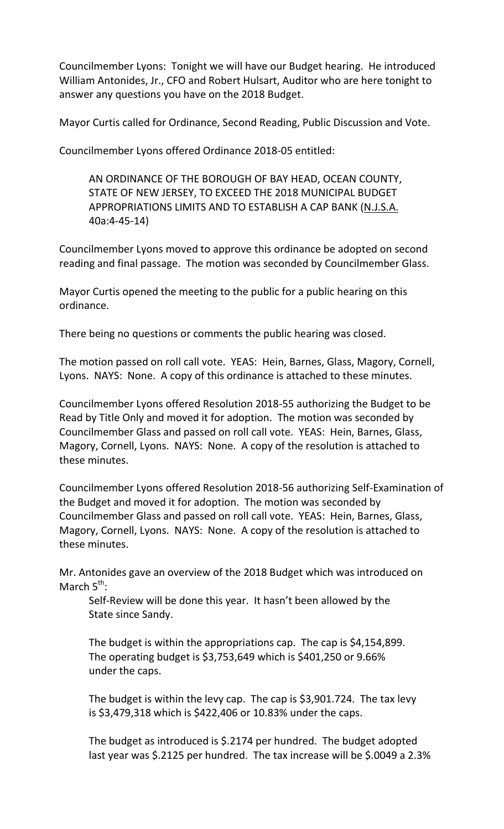Councilmember Lyons: Tonight we will have our Budget hearing. He introduced William Antonides, Jr., CFO and Robert Hulsart, Auditor who are here tonight to answer any questions you have on the 2018 Budget.

Mayor Curtis called for Ordinance, Second Reading, Public Discussion and Vote.

Councilmember Lyons offered Ordinance 2018-05 entitled:

AN ORDINANCE OF THE BOROUGH OF BAY HEAD, OCEAN COUNTY, STATE OF NEW JERSEY, TO EXCEED THE 2018 MUNICIPAL BUDGET APPROPRIATIONS LIMITS AND TO ESTABLISH A CAP BANK (N.J.S.A. 40a:4-45-14)

Councilmember Lyons moved to approve this ordinance be adopted on second reading and final passage. The motion was seconded by Councilmember Glass.

Mayor Curtis opened the meeting to the public for a public hearing on this ordinance.

There being no questions or comments the public hearing was closed.

The motion passed on roll call vote. YEAS: Hein, Barnes, Glass, Magory, Cornell, Lyons. NAYS: None. A copy of this ordinance is attached to these minutes.

Councilmember Lyons offered Resolution 2018-55 authorizing the Budget to be Read by Title Only and moved it for adoption. The motion was seconded by Councilmember Glass and passed on roll call vote. YEAS: Hein, Barnes, Glass, Magory, Cornell, Lyons. NAYS: None. A copy of the resolution is attached to these minutes.

Councilmember Lyons offered Resolution 2018-56 authorizing Self-Examination of the Budget and moved it for adoption. The motion was seconded by Councilmember Glass and passed on roll call vote. YEAS: Hein, Barnes, Glass, Magory, Cornell, Lyons. NAYS: None. A copy of the resolution is attached to these minutes.

Mr. Antonides gave an overview of the 2018 Budget which was introduced on March 5<sup>th</sup>:

Self-Review will be done this year. It hasn't been allowed by the State since Sandy.

The budget is within the appropriations cap. The cap is \$4,154,899. The operating budget is \$3,753,649 which is \$401,250 or 9.66% under the caps.

The budget is within the levy cap. The cap is \$3,901.724. The tax levy is \$3,479,318 which is \$422,406 or 10.83% under the caps.

The budget as introduced is \$.2174 per hundred. The budget adopted last year was \$.2125 per hundred. The tax increase will be \$.0049 a 2.3%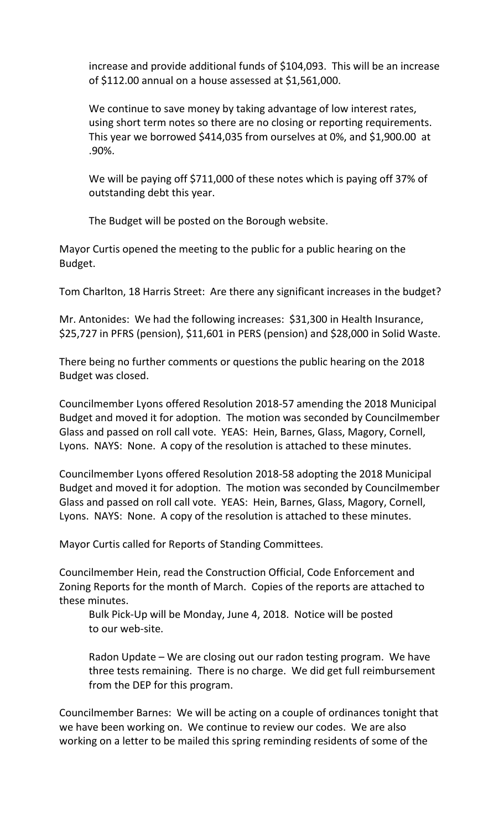increase and provide additional funds of \$104,093. This will be an increase of \$112.00 annual on a house assessed at \$1,561,000.

We continue to save money by taking advantage of low interest rates, using short term notes so there are no closing or reporting requirements. This year we borrowed \$414,035 from ourselves at 0%, and \$1,900.00 at .90%.

We will be paying off \$711,000 of these notes which is paying off 37% of outstanding debt this year.

The Budget will be posted on the Borough website.

Mayor Curtis opened the meeting to the public for a public hearing on the Budget.

Tom Charlton, 18 Harris Street: Are there any significant increases in the budget?

Mr. Antonides: We had the following increases: \$31,300 in Health Insurance, \$25,727 in PFRS (pension), \$11,601 in PERS (pension) and \$28,000 in Solid Waste.

There being no further comments or questions the public hearing on the 2018 Budget was closed.

Councilmember Lyons offered Resolution 2018-57 amending the 2018 Municipal Budget and moved it for adoption. The motion was seconded by Councilmember Glass and passed on roll call vote. YEAS: Hein, Barnes, Glass, Magory, Cornell, Lyons. NAYS: None. A copy of the resolution is attached to these minutes.

Councilmember Lyons offered Resolution 2018-58 adopting the 2018 Municipal Budget and moved it for adoption. The motion was seconded by Councilmember Glass and passed on roll call vote. YEAS: Hein, Barnes, Glass, Magory, Cornell, Lyons. NAYS: None. A copy of the resolution is attached to these minutes.

Mayor Curtis called for Reports of Standing Committees.

Councilmember Hein, read the Construction Official, Code Enforcement and Zoning Reports for the month of March. Copies of the reports are attached to these minutes.

Bulk Pick-Up will be Monday, June 4, 2018. Notice will be posted to our web-site.

Radon Update – We are closing out our radon testing program. We have three tests remaining. There is no charge. We did get full reimbursement from the DEP for this program.

Councilmember Barnes: We will be acting on a couple of ordinances tonight that we have been working on. We continue to review our codes. We are also working on a letter to be mailed this spring reminding residents of some of the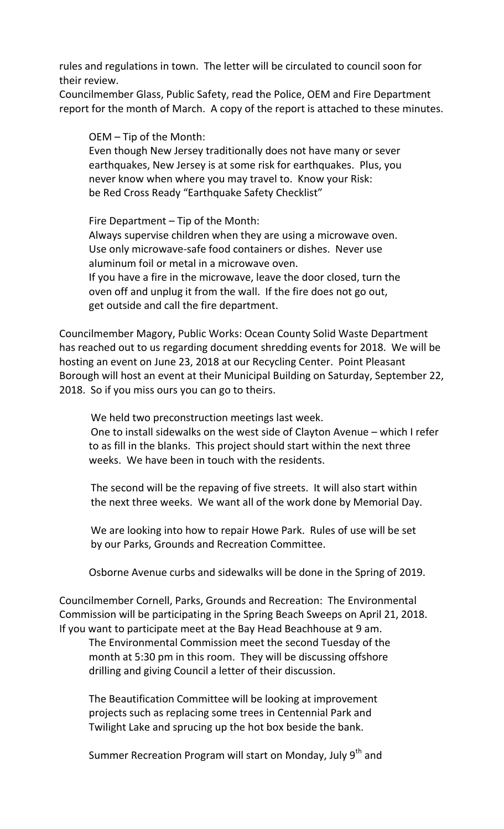rules and regulations in town. The letter will be circulated to council soon for their review.

Councilmember Glass, Public Safety, read the Police, OEM and Fire Department report for the month of March. A copy of the report is attached to these minutes.

OEM – Tip of the Month:

Even though New Jersey traditionally does not have many or sever earthquakes, New Jersey is at some risk for earthquakes. Plus, you never know when where you may travel to. Know your Risk: be Red Cross Ready "Earthquake Safety Checklist"

Fire Department – Tip of the Month: Always supervise children when they are using a microwave oven. Use only microwave-safe food containers or dishes. Never use aluminum foil or metal in a microwave oven. If you have a fire in the microwave, leave the door closed, turn the oven off and unplug it from the wall. If the fire does not go out, get outside and call the fire department.

Councilmember Magory, Public Works: Ocean County Solid Waste Department has reached out to us regarding document shredding events for 2018. We will be hosting an event on June 23, 2018 at our Recycling Center. Point Pleasant Borough will host an event at their Municipal Building on Saturday, September 22, 2018. So if you miss ours you can go to theirs.

We held two preconstruction meetings last week.

One to install sidewalks on the west side of Clayton Avenue – which I refer to as fill in the blanks. This project should start within the next three weeks. We have been in touch with the residents.

The second will be the repaving of five streets. It will also start within the next three weeks. We want all of the work done by Memorial Day.

We are looking into how to repair Howe Park. Rules of use will be set by our Parks, Grounds and Recreation Committee.

Osborne Avenue curbs and sidewalks will be done in the Spring of 2019.

Councilmember Cornell, Parks, Grounds and Recreation: The Environmental Commission will be participating in the Spring Beach Sweeps on April 21, 2018. If you want to participate meet at the Bay Head Beachhouse at 9 am.

The Environmental Commission meet the second Tuesday of the month at 5:30 pm in this room. They will be discussing offshore drilling and giving Council a letter of their discussion.

The Beautification Committee will be looking at improvement projects such as replacing some trees in Centennial Park and Twilight Lake and sprucing up the hot box beside the bank.

Summer Recreation Program will start on Monday, July 9<sup>th</sup> and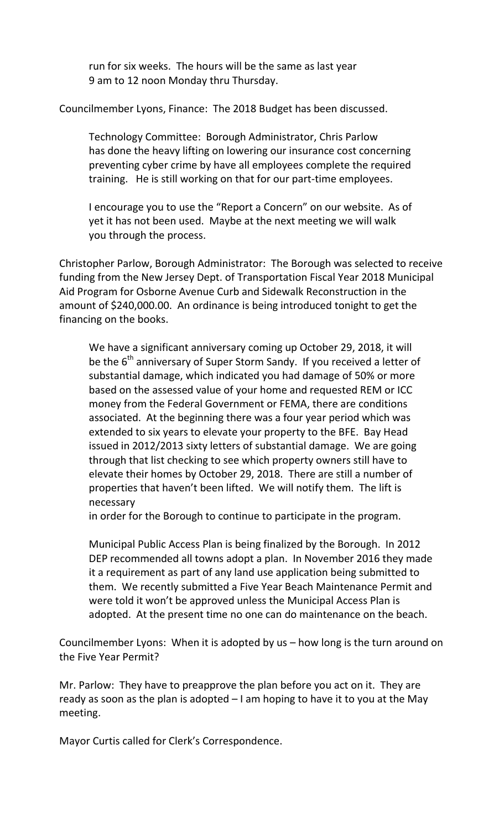run for six weeks. The hours will be the same as last year 9 am to 12 noon Monday thru Thursday.

Councilmember Lyons, Finance: The 2018 Budget has been discussed.

Technology Committee: Borough Administrator, Chris Parlow has done the heavy lifting on lowering our insurance cost concerning preventing cyber crime by have all employees complete the required training. He is still working on that for our part-time employees.

I encourage you to use the "Report a Concern" on our website. As of yet it has not been used. Maybe at the next meeting we will walk you through the process.

Christopher Parlow, Borough Administrator: The Borough was selected to receive funding from the New Jersey Dept. of Transportation Fiscal Year 2018 Municipal Aid Program for Osborne Avenue Curb and Sidewalk Reconstruction in the amount of \$240,000.00. An ordinance is being introduced tonight to get the financing on the books.

We have a significant anniversary coming up October 29, 2018, it will be the  $6<sup>th</sup>$  anniversary of Super Storm Sandy. If you received a letter of substantial damage, which indicated you had damage of 50% or more based on the assessed value of your home and requested REM or ICC money from the Federal Government or FEMA, there are conditions associated. At the beginning there was a four year period which was extended to six years to elevate your property to the BFE. Bay Head issued in 2012/2013 sixty letters of substantial damage. We are going through that list checking to see which property owners still have to elevate their homes by October 29, 2018. There are still a number of properties that haven't been lifted. We will notify them. The lift is necessary

in order for the Borough to continue to participate in the program.

Municipal Public Access Plan is being finalized by the Borough. In 2012 DEP recommended all towns adopt a plan. In November 2016 they made it a requirement as part of any land use application being submitted to them. We recently submitted a Five Year Beach Maintenance Permit and were told it won't be approved unless the Municipal Access Plan is adopted. At the present time no one can do maintenance on the beach.

Councilmember Lyons: When it is adopted by us – how long is the turn around on the Five Year Permit?

Mr. Parlow: They have to preapprove the plan before you act on it. They are ready as soon as the plan is adopted – I am hoping to have it to you at the May meeting.

Mayor Curtis called for Clerk's Correspondence.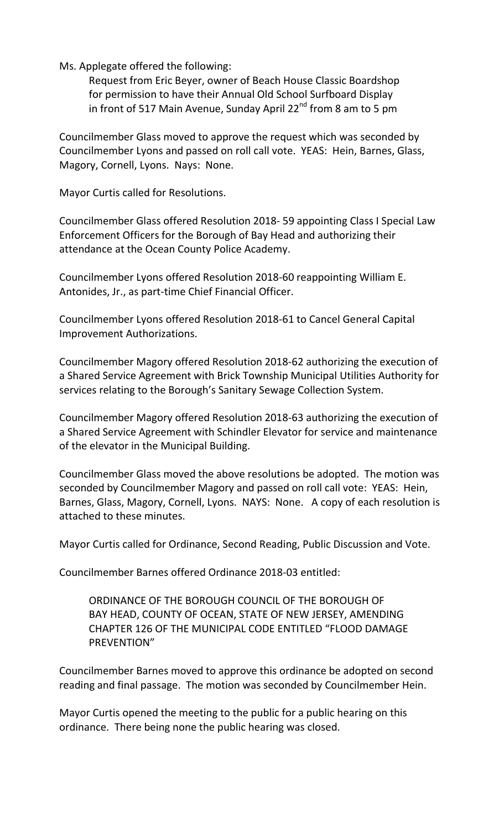Ms. Applegate offered the following:

Request from Eric Beyer, owner of Beach House Classic Boardshop for permission to have their Annual Old School Surfboard Display in front of 517 Main Avenue, Sunday April 22 $^{nd}$  from 8 am to 5 pm

Councilmember Glass moved to approve the request which was seconded by Councilmember Lyons and passed on roll call vote. YEAS: Hein, Barnes, Glass, Magory, Cornell, Lyons. Nays: None.

Mayor Curtis called for Resolutions.

Councilmember Glass offered Resolution 2018- 59 appointing Class I Special Law Enforcement Officers for the Borough of Bay Head and authorizing their attendance at the Ocean County Police Academy.

Councilmember Lyons offered Resolution 2018-60 reappointing William E. Antonides, Jr., as part-time Chief Financial Officer.

Councilmember Lyons offered Resolution 2018-61 to Cancel General Capital Improvement Authorizations.

Councilmember Magory offered Resolution 2018-62 authorizing the execution of a Shared Service Agreement with Brick Township Municipal Utilities Authority for services relating to the Borough's Sanitary Sewage Collection System.

Councilmember Magory offered Resolution 2018-63 authorizing the execution of a Shared Service Agreement with Schindler Elevator for service and maintenance of the elevator in the Municipal Building.

Councilmember Glass moved the above resolutions be adopted. The motion was seconded by Councilmember Magory and passed on roll call vote: YEAS: Hein, Barnes, Glass, Magory, Cornell, Lyons. NAYS: None. A copy of each resolution is attached to these minutes.

Mayor Curtis called for Ordinance, Second Reading, Public Discussion and Vote.

Councilmember Barnes offered Ordinance 2018-03 entitled:

ORDINANCE OF THE BOROUGH COUNCIL OF THE BOROUGH OF BAY HEAD, COUNTY OF OCEAN, STATE OF NEW JERSEY, AMENDING CHAPTER 126 OF THE MUNICIPAL CODE ENTITLED "FLOOD DAMAGE PREVENTION"

Councilmember Barnes moved to approve this ordinance be adopted on second reading and final passage. The motion was seconded by Councilmember Hein.

Mayor Curtis opened the meeting to the public for a public hearing on this ordinance. There being none the public hearing was closed.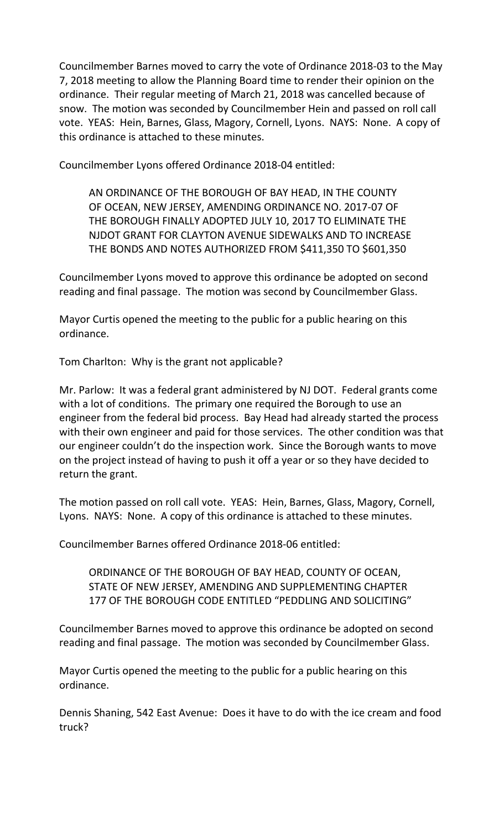Councilmember Barnes moved to carry the vote of Ordinance 2018-03 to the May 7, 2018 meeting to allow the Planning Board time to render their opinion on the ordinance. Their regular meeting of March 21, 2018 was cancelled because of snow. The motion was seconded by Councilmember Hein and passed on roll call vote. YEAS: Hein, Barnes, Glass, Magory, Cornell, Lyons. NAYS: None. A copy of this ordinance is attached to these minutes.

Councilmember Lyons offered Ordinance 2018-04 entitled:

AN ORDINANCE OF THE BOROUGH OF BAY HEAD, IN THE COUNTY OF OCEAN, NEW JERSEY, AMENDING ORDINANCE NO. 2017-07 OF THE BOROUGH FINALLY ADOPTED JULY 10, 2017 TO ELIMINATE THE NJDOT GRANT FOR CLAYTON AVENUE SIDEWALKS AND TO INCREASE THE BONDS AND NOTES AUTHORIZED FROM \$411,350 TO \$601,350

Councilmember Lyons moved to approve this ordinance be adopted on second reading and final passage. The motion was second by Councilmember Glass.

Mayor Curtis opened the meeting to the public for a public hearing on this ordinance.

Tom Charlton: Why is the grant not applicable?

Mr. Parlow: It was a federal grant administered by NJ DOT. Federal grants come with a lot of conditions. The primary one required the Borough to use an engineer from the federal bid process. Bay Head had already started the process with their own engineer and paid for those services. The other condition was that our engineer couldn't do the inspection work. Since the Borough wants to move on the project instead of having to push it off a year or so they have decided to return the grant.

The motion passed on roll call vote. YEAS: Hein, Barnes, Glass, Magory, Cornell, Lyons. NAYS: None. A copy of this ordinance is attached to these minutes.

Councilmember Barnes offered Ordinance 2018-06 entitled:

ORDINANCE OF THE BOROUGH OF BAY HEAD, COUNTY OF OCEAN, STATE OF NEW JERSEY, AMENDING AND SUPPLEMENTING CHAPTER 177 OF THE BOROUGH CODE ENTITLED "PEDDLING AND SOLICITING"

Councilmember Barnes moved to approve this ordinance be adopted on second reading and final passage. The motion was seconded by Councilmember Glass.

Mayor Curtis opened the meeting to the public for a public hearing on this ordinance.

Dennis Shaning, 542 East Avenue: Does it have to do with the ice cream and food truck?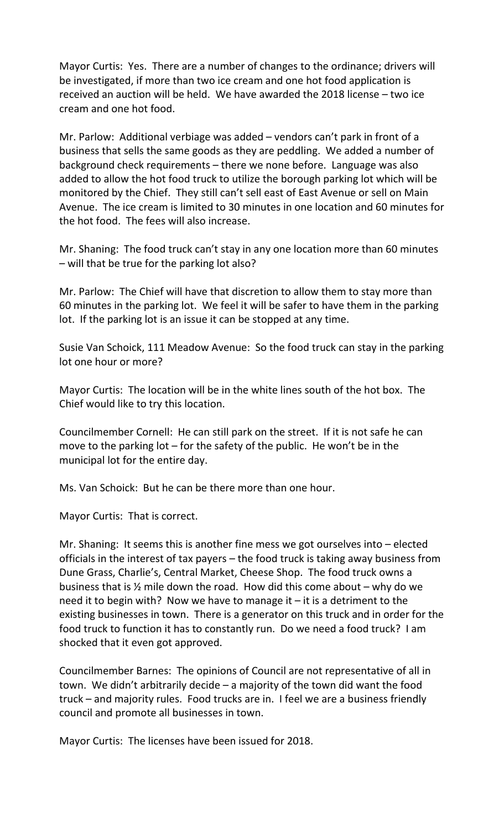Mayor Curtis: Yes. There are a number of changes to the ordinance; drivers will be investigated, if more than two ice cream and one hot food application is received an auction will be held. We have awarded the 2018 license – two ice cream and one hot food.

Mr. Parlow: Additional verbiage was added – vendors can't park in front of a business that sells the same goods as they are peddling. We added a number of background check requirements – there we none before. Language was also added to allow the hot food truck to utilize the borough parking lot which will be monitored by the Chief. They still can't sell east of East Avenue or sell on Main Avenue. The ice cream is limited to 30 minutes in one location and 60 minutes for the hot food. The fees will also increase.

Mr. Shaning: The food truck can't stay in any one location more than 60 minutes – will that be true for the parking lot also?

Mr. Parlow: The Chief will have that discretion to allow them to stay more than 60 minutes in the parking lot. We feel it will be safer to have them in the parking lot. If the parking lot is an issue it can be stopped at any time.

Susie Van Schoick, 111 Meadow Avenue: So the food truck can stay in the parking lot one hour or more?

Mayor Curtis: The location will be in the white lines south of the hot box. The Chief would like to try this location.

Councilmember Cornell: He can still park on the street. If it is not safe he can move to the parking lot – for the safety of the public. He won't be in the municipal lot for the entire day.

Ms. Van Schoick: But he can be there more than one hour.

Mayor Curtis: That is correct.

Mr. Shaning: It seems this is another fine mess we got ourselves into – elected officials in the interest of tax payers – the food truck is taking away business from Dune Grass, Charlie's, Central Market, Cheese Shop. The food truck owns a business that is  $\frac{1}{2}$  mile down the road. How did this come about – why do we need it to begin with? Now we have to manage it – it is a detriment to the existing businesses in town. There is a generator on this truck and in order for the food truck to function it has to constantly run. Do we need a food truck? I am shocked that it even got approved.

Councilmember Barnes: The opinions of Council are not representative of all in town. We didn't arbitrarily decide – a majority of the town did want the food truck – and majority rules. Food trucks are in. I feel we are a business friendly council and promote all businesses in town.

Mayor Curtis: The licenses have been issued for 2018.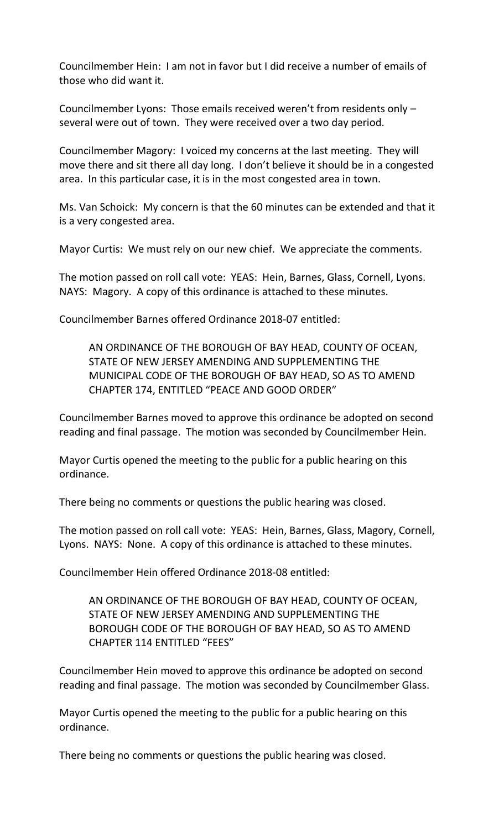Councilmember Hein: I am not in favor but I did receive a number of emails of those who did want it.

Councilmember Lyons: Those emails received weren't from residents only – several were out of town. They were received over a two day period.

Councilmember Magory: I voiced my concerns at the last meeting. They will move there and sit there all day long. I don't believe it should be in a congested area. In this particular case, it is in the most congested area in town.

Ms. Van Schoick: My concern is that the 60 minutes can be extended and that it is a very congested area.

Mayor Curtis: We must rely on our new chief. We appreciate the comments.

The motion passed on roll call vote: YEAS: Hein, Barnes, Glass, Cornell, Lyons. NAYS: Magory. A copy of this ordinance is attached to these minutes.

Councilmember Barnes offered Ordinance 2018-07 entitled:

AN ORDINANCE OF THE BOROUGH OF BAY HEAD, COUNTY OF OCEAN, STATE OF NEW JERSEY AMENDING AND SUPPLEMENTING THE MUNICIPAL CODE OF THE BOROUGH OF BAY HEAD, SO AS TO AMEND CHAPTER 174, ENTITLED "PEACE AND GOOD ORDER"

Councilmember Barnes moved to approve this ordinance be adopted on second reading and final passage. The motion was seconded by Councilmember Hein.

Mayor Curtis opened the meeting to the public for a public hearing on this ordinance.

There being no comments or questions the public hearing was closed.

The motion passed on roll call vote: YEAS: Hein, Barnes, Glass, Magory, Cornell, Lyons. NAYS: None. A copy of this ordinance is attached to these minutes.

Councilmember Hein offered Ordinance 2018-08 entitled:

AN ORDINANCE OF THE BOROUGH OF BAY HEAD, COUNTY OF OCEAN, STATE OF NEW JERSEY AMENDING AND SUPPLEMENTING THE BOROUGH CODE OF THE BOROUGH OF BAY HEAD, SO AS TO AMEND CHAPTER 114 ENTITLED "FEES"

Councilmember Hein moved to approve this ordinance be adopted on second reading and final passage. The motion was seconded by Councilmember Glass.

Mayor Curtis opened the meeting to the public for a public hearing on this ordinance.

There being no comments or questions the public hearing was closed.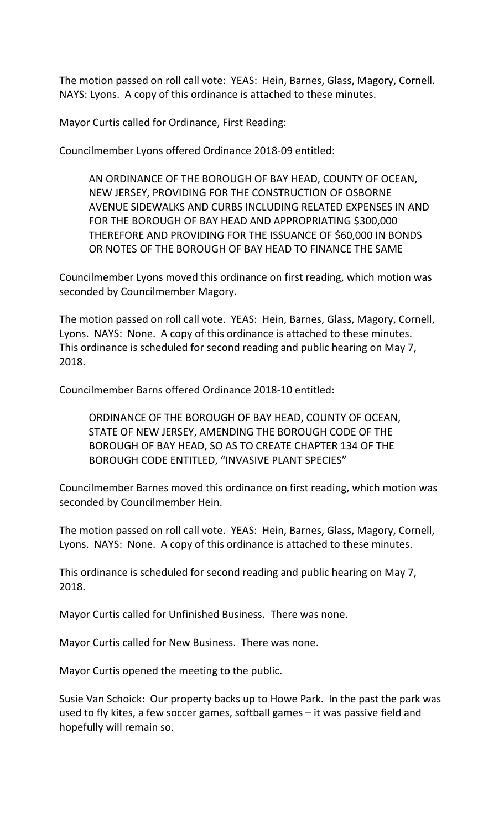The motion passed on roll call vote: YEAS: Hein, Barnes, Glass, Magory, Cornell. NAYS: Lyons. A copy of this ordinance is attached to these minutes.

Mayor Curtis called for Ordinance, First Reading:

Councilmember Lyons offered Ordinance 2018-09 entitled:

AN ORDINANCE OF THE BOROUGH OF BAY HEAD, COUNTY OF OCEAN, NEW JERSEY, PROVIDING FOR THE CONSTRUCTION OF OSBORNE AVENUE SIDEWALKS AND CURBS INCLUDING RELATED EXPENSES IN AND FOR THE BOROUGH OF BAY HEAD AND APPROPRIATING \$300,000 THEREFORE AND PROVIDING FOR THE ISSUANCE OF \$60,000 IN BONDS OR NOTES OF THE BOROUGH OF BAY HEAD TO FINANCE THE SAME

Councilmember Lyons moved this ordinance on first reading, which motion was seconded by Councilmember Magory.

The motion passed on roll call vote. YEAS: Hein, Barnes, Glass, Magory, Cornell, Lyons. NAYS: None. A copy of this ordinance is attached to these minutes. This ordinance is scheduled for second reading and public hearing on May 7, 2018.

Councilmember Barns offered Ordinance 2018-10 entitled:

ORDINANCE OF THE BOROUGH OF BAY HEAD, COUNTY OF OCEAN, STATE OF NEW JERSEY, AMENDING THE BOROUGH CODE OF THE BOROUGH OF BAY HEAD, SO AS TO CREATE CHAPTER 134 OF THE BOROUGH CODE ENTITLED, "INVASIVE PLANT SPECIES"

Councilmember Barnes moved this ordinance on first reading, which motion was seconded by Councilmember Hein.

The motion passed on roll call vote. YEAS: Hein, Barnes, Glass, Magory, Cornell, Lyons. NAYS: None. A copy of this ordinance is attached to these minutes.

This ordinance is scheduled for second reading and public hearing on May 7, 2018.

Mayor Curtis called for Unfinished Business. There was none.

Mayor Curtis called for New Business. There was none.

Mayor Curtis opened the meeting to the public.

Susie Van Schoick: Our property backs up to Howe Park. In the past the park was used to fly kites, a few soccer games, softball games – it was passive field and hopefully will remain so.